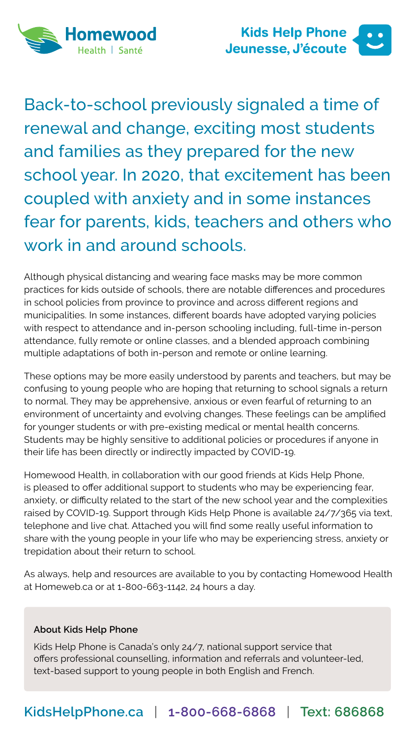



Back-to-school previously signaled a time of renewal and change, exciting most students and families as they prepared for the new school year. In 2020, that excitement has been coupled with anxiety and in some instances fear for parents, kids, teachers and others who work in and around schools.

Although physical distancing and wearing face masks may be more common practices for kids outside of schools, there are notable differences and procedures in school policies from province to province and across different regions and municipalities. In some instances, different boards have adopted varying policies with respect to attendance and in-person schooling including, full-time in-person attendance, fully remote or online classes, and a blended approach combining multiple adaptations of both in-person and remote or online learning.

These options may be more easily understood by parents and teachers, but may be confusing to young people who are hoping that returning to school signals a return to normal. They may be apprehensive, anxious or even fearful of returning to an environment of uncertainty and evolving changes. These feelings can be amplified for younger students or with pre-existing medical or mental health concerns. Students may be highly sensitive to additional policies or procedures if anyone in their life has been directly or indirectly impacted by COVID-19.

Homewood Health, in collaboration with our good friends at Kids Help Phone, is pleased to offer additional support to students who may be experiencing fear, anxiety, or difficulty related to the start of the new school year and the complexities raised by COVID-19. Support through Kids Help Phone is available 24/7/365 via text, telephone and live chat. Attached you will find some really useful information to share with the young people in your life who may be experiencing stress, anxiety or trepidation about their return to school.

As always, help and resources are available to you by contacting Homewood Health at [Homeweb.ca](http://Homeweb.ca) or at [1-800-663-1142,](tel:18006631142) 24 hours a day.

#### **About Kids Help Phone**

Kids Help Phone is Canada's only 24/7, national support service that offers professional counselling, information and referrals and volunteer-led, text-based support to young people in both English and French.

## **[KidsHelpPhone.ca](http://KidsHelpPhone.ca)** | **[1-800-668-6868](tel:18006686868)** | **Text: 686868**